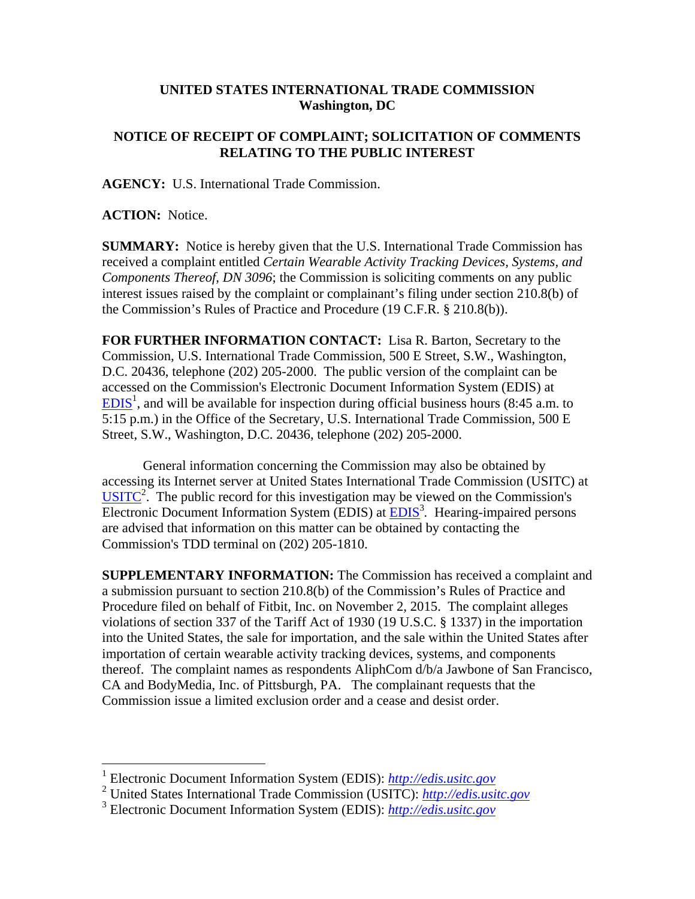## **UNITED STATES INTERNATIONAL TRADE COMMISSION Washington, DC**

## **NOTICE OF RECEIPT OF COMPLAINT; SOLICITATION OF COMMENTS RELATING TO THE PUBLIC INTEREST**

**AGENCY:** U.S. International Trade Commission.

**ACTION:** Notice.

 $\overline{a}$ 

**SUMMARY:** Notice is hereby given that the U.S. International Trade Commission has received a complaint entitled *Certain Wearable Activity Tracking Devices, Systems, and Components Thereof, DN 3096*; the Commission is soliciting comments on any public interest issues raised by the complaint or complainant's filing under section 210.8(b) of the Commission's Rules of Practice and Procedure (19 C.F.R. § 210.8(b)).

**FOR FURTHER INFORMATION CONTACT:** Lisa R. Barton, Secretary to the Commission, U.S. International Trade Commission, 500 E Street, S.W., Washington, D.C. 20436, telephone (202) 205-2000. The public version of the complaint can be accessed on the Commission's Electronic Document Information System (EDIS) at  $EDIS<sup>1</sup>$ , and will be available for inspection during official business hours (8:45 a.m. to 5:15 p.m.) in the Office of the Secretary, U.S. International Trade Commission, 500 E Street, S.W., Washington, D.C. 20436, telephone (202) 205-2000.

General information concerning the Commission may also be obtained by accessing its Internet server at United States International Trade Commission (USITC) at  $\overline{\text{USITC}}^2$ . The public record for this investigation may be viewed on the Commission's Electronic Document Information System (EDIS) at **EDIS**<sup>3</sup>. Hearing-impaired persons are advised that information on this matter can be obtained by contacting the Commission's TDD terminal on (202) 205-1810.

**SUPPLEMENTARY INFORMATION:** The Commission has received a complaint and a submission pursuant to section 210.8(b) of the Commission's Rules of Practice and Procedure filed on behalf of Fitbit, Inc. on November 2, 2015. The complaint alleges violations of section 337 of the Tariff Act of 1930 (19 U.S.C. § 1337) in the importation into the United States, the sale for importation, and the sale within the United States after importation of certain wearable activity tracking devices, systems, and components thereof. The complaint names as respondents AliphCom d/b/a Jawbone of San Francisco, CA and BodyMedia, Inc. of Pittsburgh, PA. The complainant requests that the Commission issue a limited exclusion order and a cease and desist order.

<sup>1</sup> Electronic Document Information System (EDIS): *http://edis.usitc.gov*

<sup>2</sup> United States International Trade Commission (USITC): *http://edis.usitc.gov*

<sup>3</sup> Electronic Document Information System (EDIS): *http://edis.usitc.gov*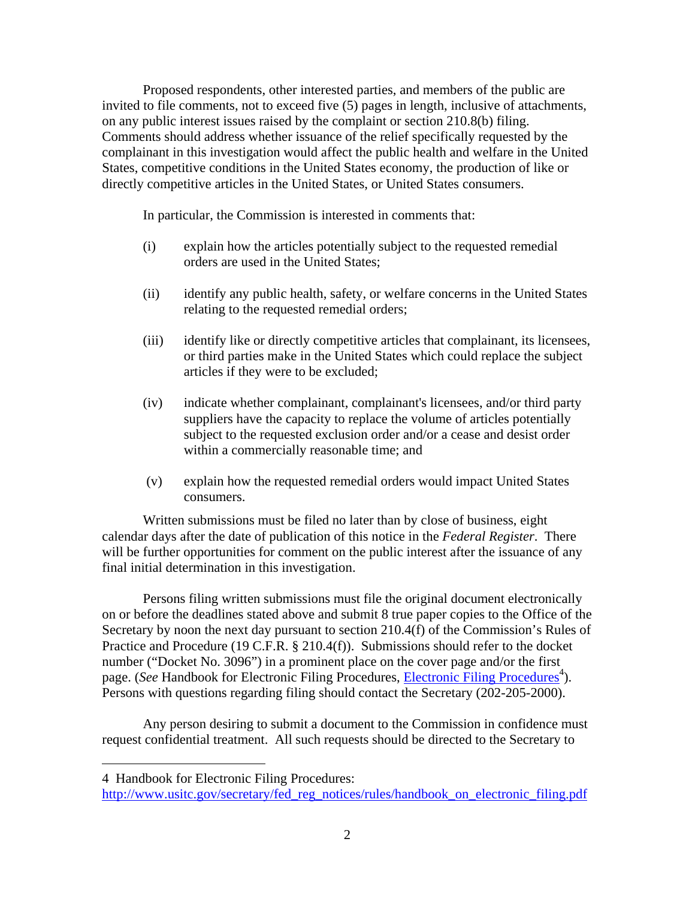Proposed respondents, other interested parties, and members of the public are invited to file comments, not to exceed five (5) pages in length, inclusive of attachments, on any public interest issues raised by the complaint or section 210.8(b) filing. Comments should address whether issuance of the relief specifically requested by the complainant in this investigation would affect the public health and welfare in the United States, competitive conditions in the United States economy, the production of like or directly competitive articles in the United States, or United States consumers.

In particular, the Commission is interested in comments that:

- (i) explain how the articles potentially subject to the requested remedial orders are used in the United States;
- (ii) identify any public health, safety, or welfare concerns in the United States relating to the requested remedial orders;
- (iii) identify like or directly competitive articles that complainant, its licensees, or third parties make in the United States which could replace the subject articles if they were to be excluded;
- (iv) indicate whether complainant, complainant's licensees, and/or third party suppliers have the capacity to replace the volume of articles potentially subject to the requested exclusion order and/or a cease and desist order within a commercially reasonable time; and
- (v) explain how the requested remedial orders would impact United States consumers.

Written submissions must be filed no later than by close of business, eight calendar days after the date of publication of this notice in the *Federal Register*. There will be further opportunities for comment on the public interest after the issuance of any final initial determination in this investigation.

Persons filing written submissions must file the original document electronically on or before the deadlines stated above and submit 8 true paper copies to the Office of the Secretary by noon the next day pursuant to section 210.4(f) of the Commission's Rules of Practice and Procedure (19 C.F.R. § 210.4(f)). Submissions should refer to the docket number ("Docket No. 3096") in a prominent place on the cover page and/or the first page. (*See* Handbook for Electronic Filing Procedures, *Electronic Filing Procedures*<sup>4</sup>). Persons with questions regarding filing should contact the Secretary (202-205-2000).

Any person desiring to submit a document to the Commission in confidence must request confidential treatment. All such requests should be directed to the Secretary to

 $\overline{a}$ 

<sup>4</sup> Handbook for Electronic Filing Procedures:

http://www.usitc.gov/secretary/fed\_reg\_notices/rules/handbook\_on\_electronic\_filing.pdf